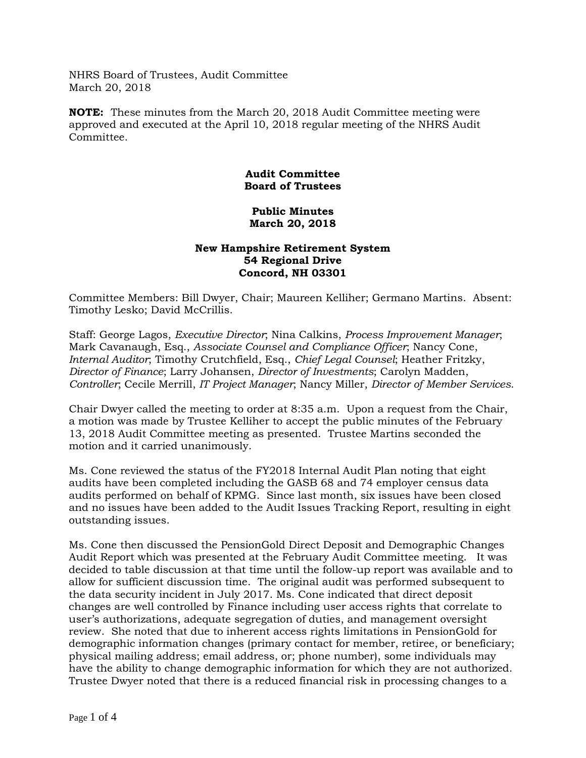NHRS Board of Trustees, Audit Committee March 20, 2018

**NOTE:** These minutes from the March 20, 2018 Audit Committee meeting were approved and executed at the April 10, 2018 regular meeting of the NHRS Audit Committee.

## **Audit Committee Board of Trustees**

## **Public Minutes March 20, 2018**

## **New Hampshire Retirement System 54 Regional Drive Concord, NH 03301**

Committee Members: Bill Dwyer, Chair; Maureen Kelliher; Germano Martins. Absent: Timothy Lesko; David McCrillis.

Staff: George Lagos, *Executive Director*; Nina Calkins, *Process Improvement Manager*; Mark Cavanaugh, Esq., *Associate Counsel and Compliance Officer*; Nancy Cone, *Internal Auditor*; Timothy Crutchfield, Esq., *Chief Legal Counsel*; Heather Fritzky, *Director of Finance*; Larry Johansen, *Director of Investments*; Carolyn Madden, *Controller*; Cecile Merrill, *IT Project Manager*; Nancy Miller, *Director of Member Services*.

Chair Dwyer called the meeting to order at 8:35 a.m. Upon a request from the Chair, a motion was made by Trustee Kelliher to accept the public minutes of the February 13, 2018 Audit Committee meeting as presented. Trustee Martins seconded the motion and it carried unanimously.

Ms. Cone reviewed the status of the FY2018 Internal Audit Plan noting that eight audits have been completed including the GASB 68 and 74 employer census data audits performed on behalf of KPMG. Since last month, six issues have been closed and no issues have been added to the Audit Issues Tracking Report, resulting in eight outstanding issues.

Ms. Cone then discussed the PensionGold Direct Deposit and Demographic Changes Audit Report which was presented at the February Audit Committee meeting. It was decided to table discussion at that time until the follow-up report was available and to allow for sufficient discussion time. The original audit was performed subsequent to the data security incident in July 2017. Ms. Cone indicated that direct deposit changes are well controlled by Finance including user access rights that correlate to user's authorizations, adequate segregation of duties, and management oversight review. She noted that due to inherent access rights limitations in PensionGold for demographic information changes (primary contact for member, retiree, or beneficiary; physical mailing address; email address, or; phone number), some individuals may have the ability to change demographic information for which they are not authorized. Trustee Dwyer noted that there is a reduced financial risk in processing changes to a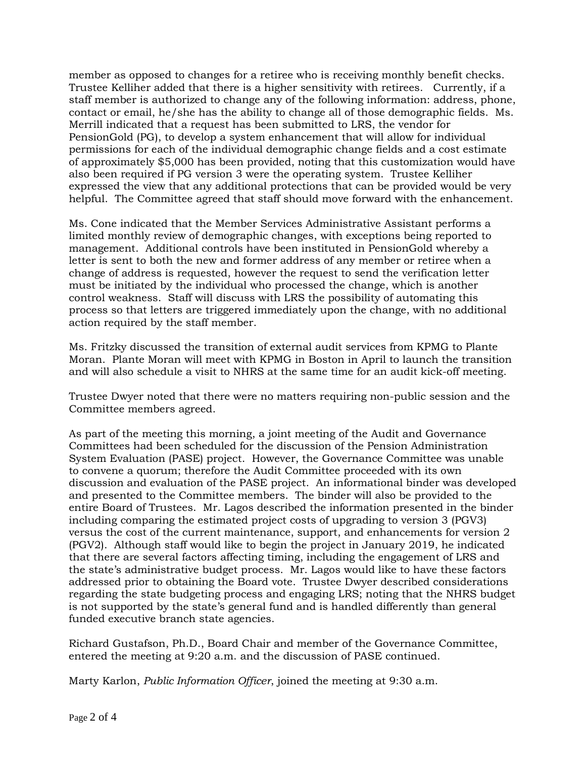member as opposed to changes for a retiree who is receiving monthly benefit checks. Trustee Kelliher added that there is a higher sensitivity with retirees. Currently, if a staff member is authorized to change any of the following information: address, phone, contact or email, he/she has the ability to change all of those demographic fields. Ms. Merrill indicated that a request has been submitted to LRS, the vendor for PensionGold (PG), to develop a system enhancement that will allow for individual permissions for each of the individual demographic change fields and a cost estimate of approximately \$5,000 has been provided, noting that this customization would have also been required if PG version 3 were the operating system. Trustee Kelliher expressed the view that any additional protections that can be provided would be very helpful. The Committee agreed that staff should move forward with the enhancement.

Ms. Cone indicated that the Member Services Administrative Assistant performs a limited monthly review of demographic changes, with exceptions being reported to management. Additional controls have been instituted in PensionGold whereby a letter is sent to both the new and former address of any member or retiree when a change of address is requested, however the request to send the verification letter must be initiated by the individual who processed the change, which is another control weakness. Staff will discuss with LRS the possibility of automating this process so that letters are triggered immediately upon the change, with no additional action required by the staff member.

Ms. Fritzky discussed the transition of external audit services from KPMG to Plante Moran. Plante Moran will meet with KPMG in Boston in April to launch the transition and will also schedule a visit to NHRS at the same time for an audit kick-off meeting.

Trustee Dwyer noted that there were no matters requiring non-public session and the Committee members agreed.

As part of the meeting this morning, a joint meeting of the Audit and Governance Committees had been scheduled for the discussion of the Pension Administration System Evaluation (PASE) project. However, the Governance Committee was unable to convene a quorum; therefore the Audit Committee proceeded with its own discussion and evaluation of the PASE project. An informational binder was developed and presented to the Committee members. The binder will also be provided to the entire Board of Trustees. Mr. Lagos described the information presented in the binder including comparing the estimated project costs of upgrading to version 3 (PGV3) versus the cost of the current maintenance, support, and enhancements for version 2 (PGV2). Although staff would like to begin the project in January 2019, he indicated that there are several factors affecting timing, including the engagement of LRS and the state's administrative budget process. Mr. Lagos would like to have these factors addressed prior to obtaining the Board vote. Trustee Dwyer described considerations regarding the state budgeting process and engaging LRS; noting that the NHRS budget is not supported by the state's general fund and is handled differently than general funded executive branch state agencies.

Richard Gustafson, Ph.D., Board Chair and member of the Governance Committee, entered the meeting at 9:20 a.m. and the discussion of PASE continued.

Marty Karlon, *Public Information Officer*, joined the meeting at 9:30 a.m.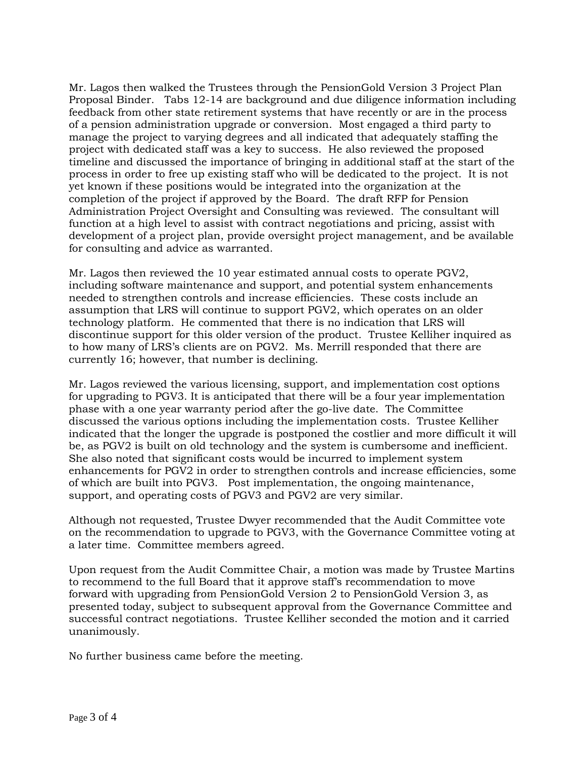Mr. Lagos then walked the Trustees through the PensionGold Version 3 Project Plan Proposal Binder. Tabs 12-14 are background and due diligence information including feedback from other state retirement systems that have recently or are in the process of a pension administration upgrade or conversion. Most engaged a third party to manage the project to varying degrees and all indicated that adequately staffing the project with dedicated staff was a key to success. He also reviewed the proposed timeline and discussed the importance of bringing in additional staff at the start of the process in order to free up existing staff who will be dedicated to the project. It is not yet known if these positions would be integrated into the organization at the completion of the project if approved by the Board. The draft RFP for Pension Administration Project Oversight and Consulting was reviewed. The consultant will function at a high level to assist with contract negotiations and pricing, assist with development of a project plan, provide oversight project management, and be available for consulting and advice as warranted.

Mr. Lagos then reviewed the 10 year estimated annual costs to operate PGV2, including software maintenance and support, and potential system enhancements needed to strengthen controls and increase efficiencies. These costs include an assumption that LRS will continue to support PGV2, which operates on an older technology platform. He commented that there is no indication that LRS will discontinue support for this older version of the product. Trustee Kelliher inquired as to how many of LRS's clients are on PGV2. Ms. Merrill responded that there are currently 16; however, that number is declining.

Mr. Lagos reviewed the various licensing, support, and implementation cost options for upgrading to PGV3. It is anticipated that there will be a four year implementation phase with a one year warranty period after the go-live date. The Committee discussed the various options including the implementation costs. Trustee Kelliher indicated that the longer the upgrade is postponed the costlier and more difficult it will be, as PGV2 is built on old technology and the system is cumbersome and inefficient. She also noted that significant costs would be incurred to implement system enhancements for PGV2 in order to strengthen controls and increase efficiencies, some of which are built into PGV3. Post implementation, the ongoing maintenance, support, and operating costs of PGV3 and PGV2 are very similar.

Although not requested, Trustee Dwyer recommended that the Audit Committee vote on the recommendation to upgrade to PGV3, with the Governance Committee voting at a later time. Committee members agreed.

Upon request from the Audit Committee Chair, a motion was made by Trustee Martins to recommend to the full Board that it approve staff's recommendation to move forward with upgrading from PensionGold Version 2 to PensionGold Version 3, as presented today, subject to subsequent approval from the Governance Committee and successful contract negotiations. Trustee Kelliher seconded the motion and it carried unanimously.

No further business came before the meeting.